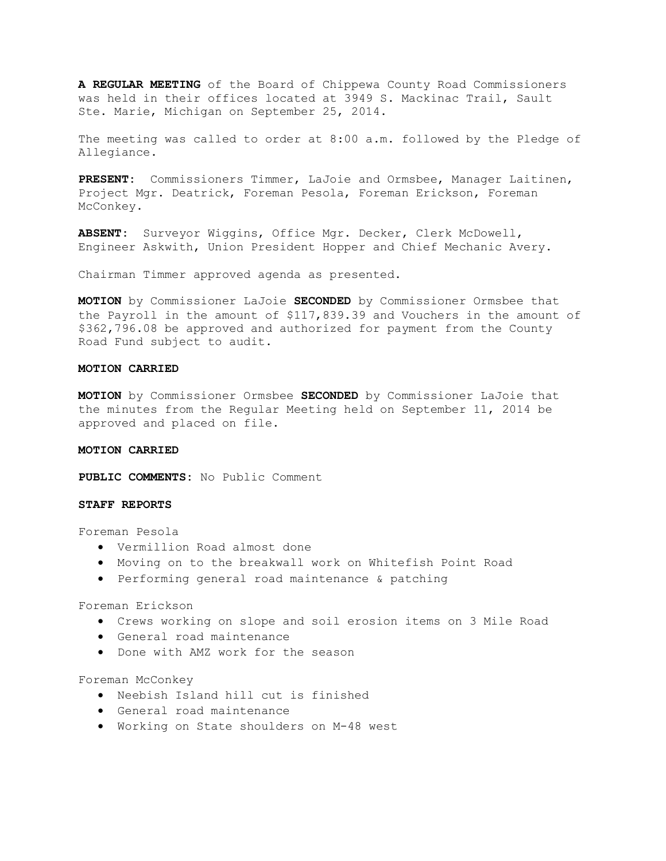**A REGULAR MEETING** of the Board of Chippewa County Road Commissioners was held in their offices located at 3949 S. Mackinac Trail, Sault Ste. Marie, Michigan on September 25, 2014.

The meeting was called to order at 8:00 a.m. followed by the Pledge of Allegiance.

**PRESENT:** Commissioners Timmer, LaJoie and Ormsbee, Manager Laitinen, Project Mgr. Deatrick, Foreman Pesola, Foreman Erickson, Foreman McConkey.

**ABSENT:** Surveyor Wiggins, Office Mgr. Decker, Clerk McDowell, Engineer Askwith, Union President Hopper and Chief Mechanic Avery.

Chairman Timmer approved agenda as presented.

**MOTION** by Commissioner LaJoie **SECONDED** by Commissioner Ormsbee that the Payroll in the amount of \$117,839.39 and Vouchers in the amount of \$362,796.08 be approved and authorized for payment from the County Road Fund subject to audit.

## **MOTION CARRIED**

**MOTION** by Commissioner Ormsbee **SECONDED** by Commissioner LaJoie that the minutes from the Regular Meeting held on September 11, 2014 be approved and placed on file.

#### **MOTION CARRIED**

**PUBLIC COMMENTS:** No Public Comment

## **STAFF REPORTS**

Foreman Pesola

- · Vermillion Road almost done
- · Moving on to the breakwall work on Whitefish Point Road
- · Performing general road maintenance & patching

#### Foreman Erickson

- · Crews working on slope and soil erosion items on 3 Mile Road
- · General road maintenance
- · Done with AMZ work for the season

Foreman McConkey

- · Neebish Island hill cut is finished
- · General road maintenance
- · Working on State shoulders on M-48 west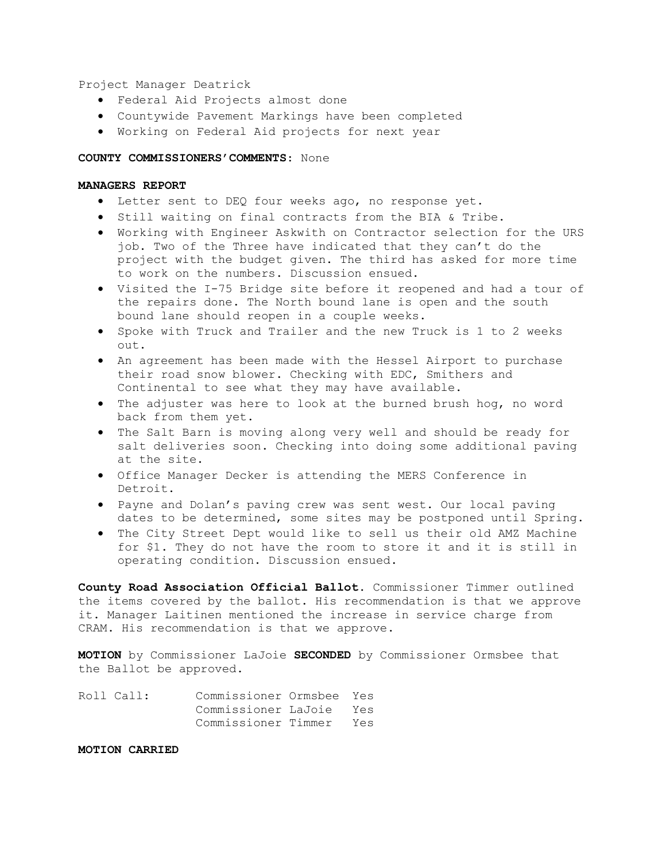Project Manager Deatrick

- · Federal Aid Projects almost done
- · Countywide Pavement Markings have been completed
- · Working on Federal Aid projects for next year

#### **COUNTY COMMISSIONERS'COMMENTS**: None

# **MANAGERS REPORT**

- · Letter sent to DEQ four weeks ago, no response yet.
- · Still waiting on final contracts from the BIA & Tribe.
- · Working with Engineer Askwith on Contractor selection for the URS job. Two of the Three have indicated that they can't do the project with the budget given. The third has asked for more time to work on the numbers. Discussion ensued.
- · Visited the I-75 Bridge site before it reopened and had a tour of the repairs done. The North bound lane is open and the south bound lane should reopen in a couple weeks.
- · Spoke with Truck and Trailer and the new Truck is 1 to 2 weeks out.
- · An agreement has been made with the Hessel Airport to purchase their road snow blower. Checking with EDC, Smithers and Continental to see what they may have available.
- · The adjuster was here to look at the burned brush hog, no word back from them yet.
- · The Salt Barn is moving along very well and should be ready for salt deliveries soon. Checking into doing some additional paving at the site.
- · Office Manager Decker is attending the MERS Conference in Detroit.
- · Payne and Dolan's paving crew was sent west. Our local paving dates to be determined, some sites may be postponed until Spring.
- · The City Street Dept would like to sell us their old AMZ Machine for \$1. They do not have the room to store it and it is still in operating condition. Discussion ensued.

**County Road Association Official Ballot**. Commissioner Timmer outlined the items covered by the ballot. His recommendation is that we approve it. Manager Laitinen mentioned the increase in service charge from CRAM. His recommendation is that we approve.

**MOTION** by Commissioner LaJoie **SECONDED** by Commissioner Ormsbee that the Ballot be approved.

| Roll Call: | Commissioner Ormsbee Yes |  |
|------------|--------------------------|--|
|            | Commissioner LaJoie Yes  |  |
|            | Commissioner Timmer Yes  |  |

**MOTION CARRIED**